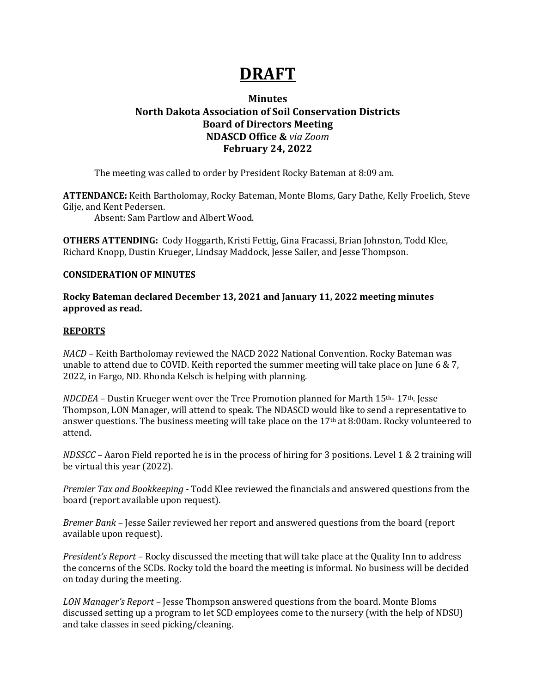# **DRAFT**

## **Minutes North Dakota Association of Soil Conservation Districts Board of Directors Meeting NDASCD Office &** *via Zoom* **February 24, 2022**

The meeting was called to order by President Rocky Bateman at 8:09 am.

**ATTENDANCE:** Keith Bartholomay, Rocky Bateman, Monte Bloms, Gary Dathe, Kelly Froelich, Steve Gilje, and Kent Pedersen.

Absent: Sam Partlow and Albert Wood.

**OTHERS ATTENDING:** Cody Hoggarth, Kristi Fettig, Gina Fracassi, Brian Johnston, Todd Klee, Richard Knopp, Dustin Krueger, Lindsay Maddock, Jesse Sailer, and Jesse Thompson.

### **CONSIDERATION OF MINUTES**

**Rocky Bateman declared December 13, 2021 and January 11, 2022 meeting minutes approved as read.**

#### **REPORTS**

*NACD –* Keith Bartholomay reviewed the NACD 2022 National Convention. Rocky Bateman was unable to attend due to COVID. Keith reported the summer meeting will take place on June 6 & 7, 2022, in Fargo, ND. Rhonda Kelsch is helping with planning.

*NDCDEA* – Dustin Krueger went over the Tree Promotion planned for Marth 15<sup>th</sup>- 17<sup>th</sup>. Jesse Thompson, LON Manager, will attend to speak. The NDASCD would like to send a representative to answer questions. The business meeting will take place on the  $17<sup>th</sup>$  at 8:00am. Rocky volunteered to attend.

*NDSSCC –* Aaron Field reported he is in the process of hiring for 3 positions. Level 1 & 2 training will be virtual this year (2022).

*Premier Tax and Bookkeeping -* Todd Klee reviewed the financials and answered questions from the board (report available upon request).

*Bremer Bank –* Jesse Sailer reviewed her report and answered questions from the board (report available upon request).

*President's Report –* Rocky discussed the meeting that will take place at the Quality Inn to address the concerns of the SCDs. Rocky told the board the meeting is informal. No business will be decided on today during the meeting.

*LON Manager's Report –* Jesse Thompson answered questions from the board. Monte Bloms discussed setting up a program to let SCD employees come to the nursery (with the help of NDSU) and take classes in seed picking/cleaning.